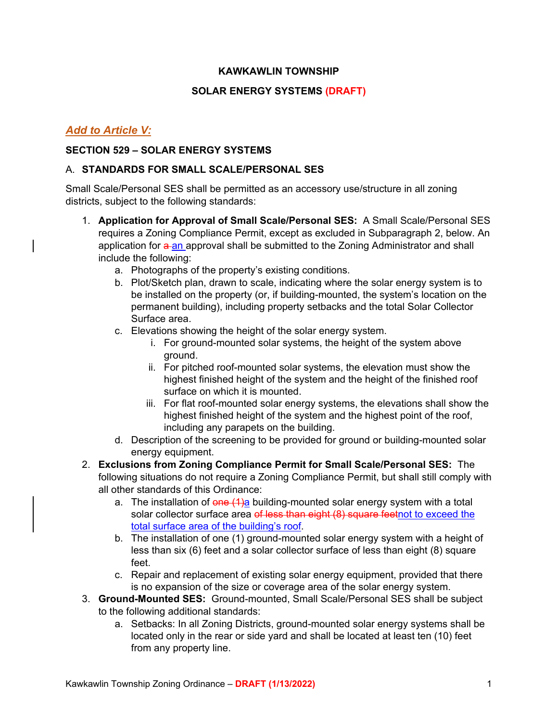# **KAWKAWLIN TOWNSHIP**

# **SOLAR ENERGY SYSTEMS (DRAFT)**

# *Add to Article V:*

# **SECTION 529 – SOLAR ENERGY SYSTEMS**

#### A. **STANDARDS FOR SMALL SCALE/PERSONAL SES**

Small Scale/Personal SES shall be permitted as an accessory use/structure in all zoning districts, subject to the following standards:

- 1. **Application for Approval of Small Scale/Personal SES:** A Small Scale/Personal SES requires a Zoning Compliance Permit, except as excluded in Subparagraph 2, below. An application for a an approval shall be submitted to the Zoning Administrator and shall include the following:
	- a. Photographs of the property's existing conditions.
	- b. Plot/Sketch plan, drawn to scale, indicating where the solar energy system is to be installed on the property (or, if building-mounted, the system's location on the permanent building), including property setbacks and the total Solar Collector Surface area.
	- c. Elevations showing the height of the solar energy system.
		- i. For ground-mounted solar systems, the height of the system above ground.
		- ii. For pitched roof-mounted solar systems, the elevation must show the highest finished height of the system and the height of the finished roof surface on which it is mounted.
		- iii. For flat roof-mounted solar energy systems, the elevations shall show the highest finished height of the system and the highest point of the roof, including any parapets on the building.
	- d. Description of the screening to be provided for ground or building-mounted solar energy equipment.
- 2. **Exclusions from Zoning Compliance Permit for Small Scale/Personal SES:** The following situations do not require a Zoning Compliance Permit, but shall still comply with all other standards of this Ordinance:
	- a. The installation of  $\theta$ ne (1)a building-mounted solar energy system with a total solar collector surface area of less than eight (8) square feetnot to exceed the total surface area of the building's roof.
	- b. The installation of one (1) ground-mounted solar energy system with a height of less than six (6) feet and a solar collector surface of less than eight (8) square feet.
	- c. Repair and replacement of existing solar energy equipment, provided that there is no expansion of the size or coverage area of the solar energy system.
- 3. **Ground-Mounted SES:** Ground-mounted, Small Scale/Personal SES shall be subject to the following additional standards:
	- a. Setbacks: In all Zoning Districts, ground-mounted solar energy systems shall be located only in the rear or side yard and shall be located at least ten (10) feet from any property line.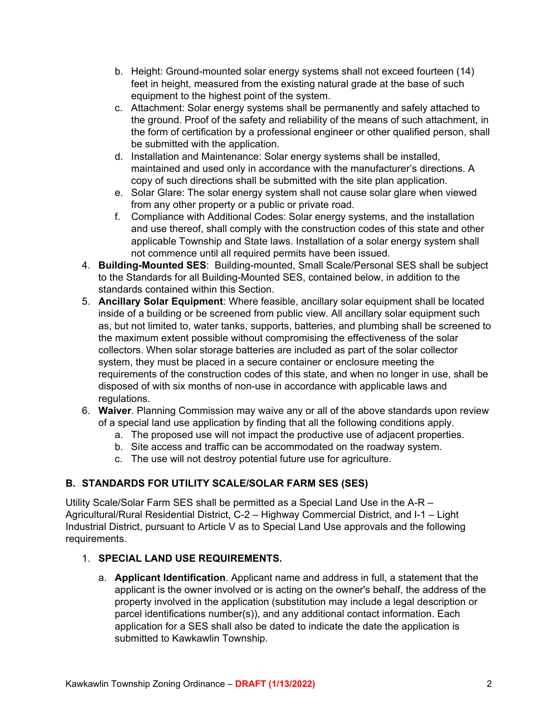- b. Height: Ground-mounted solar energy systems shall not exceed fourteen (14) feet in height, measured from the existing natural grade at the base of such equipment to the highest point of the system.
- c. Attachment: Solar energy systems shall be permanently and safely attached to the ground. Proof of the safety and reliability of the means of such attachment, in the form of certification by a professional engineer or other qualified person, shall be submitted with the application.
- d. Installation and Maintenance: Solar energy systems shall be installed, maintained and used only in accordance with the manufacturer's directions. A copy of such directions shall be submitted with the site plan application.
- e. Solar Glare: The solar energy system shall not cause solar glare when viewed from any other property or a public or private road.
- f. Compliance with Additional Codes: Solar energy systems, and the installation and use thereof, shall comply with the construction codes of this state and other applicable Township and State laws. Installation of a solar energy system shall not commence until all required permits have been issued.
- 4. **Building-Mounted SES**: Building-mounted, Small Scale/Personal SES shall be subject to the Standards for all Building-Mounted SES, contained below, in addition to the standards contained within this Section.
- 5. **Ancillary Solar Equipment**: Where feasible, ancillary solar equipment shall be located inside of a building or be screened from public view. All ancillary solar equipment such as, but not limited to, water tanks, supports, batteries, and plumbing shall be screened to the maximum extent possible without compromising the effectiveness of the solar collectors. When solar storage batteries are included as part of the solar collector system, they must be placed in a secure container or enclosure meeting the requirements of the construction codes of this state, and when no longer in use, shall be disposed of with six months of non-use in accordance with applicable laws and regulations.
- 6. **Waiver**. Planning Commission may waive any or all of the above standards upon review of a special land use application by finding that all the following conditions apply.
	- a. The proposed use will not impact the productive use of adjacent properties.
	- b. Site access and traffic can be accommodated on the roadway system.
	- c. The use will not destroy potential future use for agriculture.

# **B. STANDARDS FOR UTILITY SCALE/SOLAR FARM SES (SES)**

Utility Scale/Solar Farm SES shall be permitted as a Special Land Use in the A-R – Agricultural/Rural Residential District, C-2 – Highway Commercial District, and I-1 – Light Industrial District, pursuant to Article V as to Special Land Use approvals and the following requirements.

# 1. **SPECIAL LAND USE REQUIREMENTS.**

a. **Applicant Identification**. Applicant name and address in full, a statement that the applicant is the owner involved or is acting on the owner's behalf, the address of the property involved in the application (substitution may include a legal description or parcel identifications number(s)), and any additional contact information. Each application for a SES shall also be dated to indicate the date the application is submitted to Kawkawlin Township.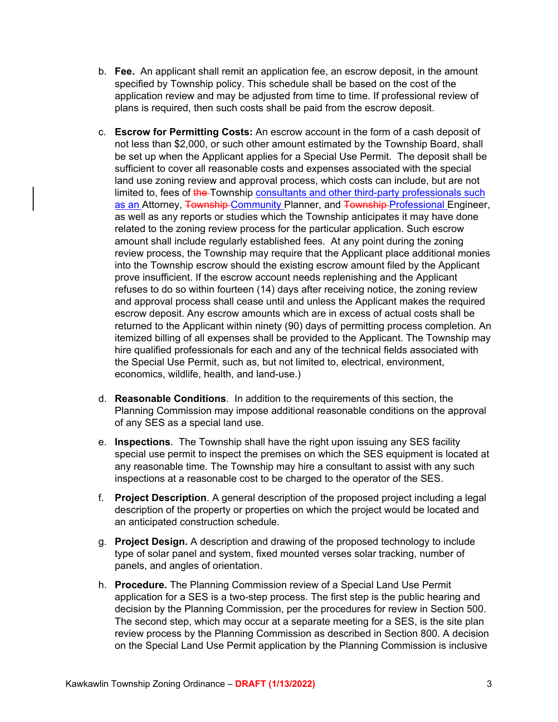- b. **Fee.** An applicant shall remit an application fee, an escrow deposit, in the amount specified by Township policy. This schedule shall be based on the cost of the application review and may be adjusted from time to time. If professional review of plans is required, then such costs shall be paid from the escrow deposit.
- c. **Escrow for Permitting Costs:** An escrow account in the form of a cash deposit of not less than \$2,000, or such other amount estimated by the Township Board, shall be set up when the Applicant applies for a Special Use Permit. The deposit shall be sufficient to cover all reasonable costs and expenses associated with the special land use zoning review and approval process, which costs can include, but are not limited to, fees of the Township consultants and other third-party professionals such as an Attorney, Township-Community Planner, and Township-Professional Engineer, as well as any reports or studies which the Township anticipates it may have done related to the zoning review process for the particular application. Such escrow amount shall include regularly established fees. At any point during the zoning review process, the Township may require that the Applicant place additional monies into the Township escrow should the existing escrow amount filed by the Applicant prove insufficient. If the escrow account needs replenishing and the Applicant refuses to do so within fourteen (14) days after receiving notice, the zoning review and approval process shall cease until and unless the Applicant makes the required escrow deposit. Any escrow amounts which are in excess of actual costs shall be returned to the Applicant within ninety (90) days of permitting process completion. An itemized billing of all expenses shall be provided to the Applicant. The Township may hire qualified professionals for each and any of the technical fields associated with the Special Use Permit, such as, but not limited to, electrical, environment, economics, wildlife, health, and land-use.)
- d. **Reasonable Conditions**. In addition to the requirements of this section, the Planning Commission may impose additional reasonable conditions on the approval of any SES as a special land use.
- e. **Inspections**. The Township shall have the right upon issuing any SES facility special use permit to inspect the premises on which the SES equipment is located at any reasonable time. The Township may hire a consultant to assist with any such inspections at a reasonable cost to be charged to the operator of the SES.
- f. **Project Description**. A general description of the proposed project including a legal description of the property or properties on which the project would be located and an anticipated construction schedule.
- g. **Project Design.** A description and drawing of the proposed technology to include type of solar panel and system, fixed mounted verses solar tracking, number of panels, and angles of orientation.
- h. **Procedure.** The Planning Commission review of a Special Land Use Permit application for a SES is a two-step process. The first step is the public hearing and decision by the Planning Commission, per the procedures for review in Section 500. The second step, which may occur at a separate meeting for a SES, is the site plan review process by the Planning Commission as described in Section 800. A decision on the Special Land Use Permit application by the Planning Commission is inclusive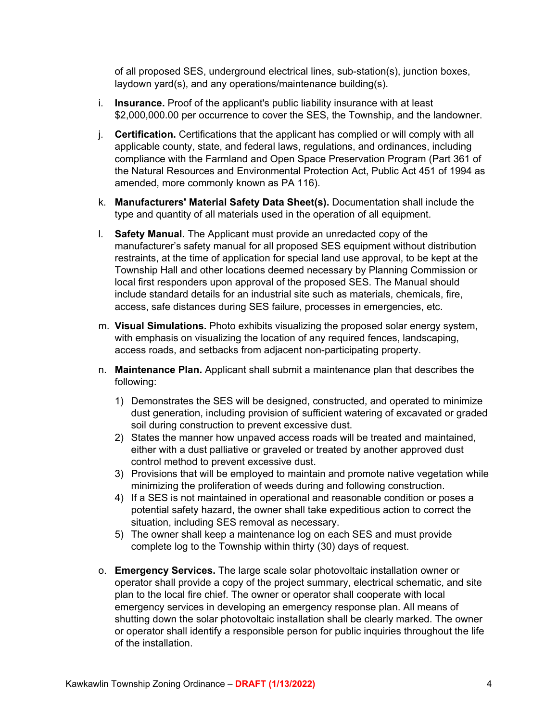of all proposed SES, underground electrical lines, sub-station(s), junction boxes, laydown yard(s), and any operations/maintenance building(s).

- i. **Insurance.** Proof of the applicant's public liability insurance with at least \$2,000,000.00 per occurrence to cover the SES, the Township, and the landowner.
- j. **Certification.** Certifications that the applicant has complied or will comply with all applicable county, state, and federal laws, regulations, and ordinances, including compliance with the Farmland and Open Space Preservation Program (Part 361 of the Natural Resources and Environmental Protection Act, Public Act 451 of 1994 as amended, more commonly known as PA 116).
- k. **Manufacturers' Material Safety Data Sheet(s).** Documentation shall include the type and quantity of all materials used in the operation of all equipment.
- l. **Safety Manual.** The Applicant must provide an unredacted copy of the manufacturer's safety manual for all proposed SES equipment without distribution restraints, at the time of application for special land use approval, to be kept at the Township Hall and other locations deemed necessary by Planning Commission or local first responders upon approval of the proposed SES. The Manual should include standard details for an industrial site such as materials, chemicals, fire, access, safe distances during SES failure, processes in emergencies, etc.
- m. **Visual Simulations.** Photo exhibits visualizing the proposed solar energy system, with emphasis on visualizing the location of any required fences, landscaping, access roads, and setbacks from adjacent non-participating property.
- n. **Maintenance Plan.** Applicant shall submit a maintenance plan that describes the following:
	- 1) Demonstrates the SES will be designed, constructed, and operated to minimize dust generation, including provision of sufficient watering of excavated or graded soil during construction to prevent excessive dust.
	- 2) States the manner how unpaved access roads will be treated and maintained, either with a dust palliative or graveled or treated by another approved dust control method to prevent excessive dust.
	- 3) Provisions that will be employed to maintain and promote native vegetation while minimizing the proliferation of weeds during and following construction.
	- 4) If a SES is not maintained in operational and reasonable condition or poses a potential safety hazard, the owner shall take expeditious action to correct the situation, including SES removal as necessary.
	- 5) The owner shall keep a maintenance log on each SES and must provide complete log to the Township within thirty (30) days of request.
- o. **Emergency Services.** The large scale solar photovoltaic installation owner or operator shall provide a copy of the project summary, electrical schematic, and site plan to the local fire chief. The owner or operator shall cooperate with local emergency services in developing an emergency response plan. All means of shutting down the solar photovoltaic installation shall be clearly marked. The owner or operator shall identify a responsible person for public inquiries throughout the life of the installation.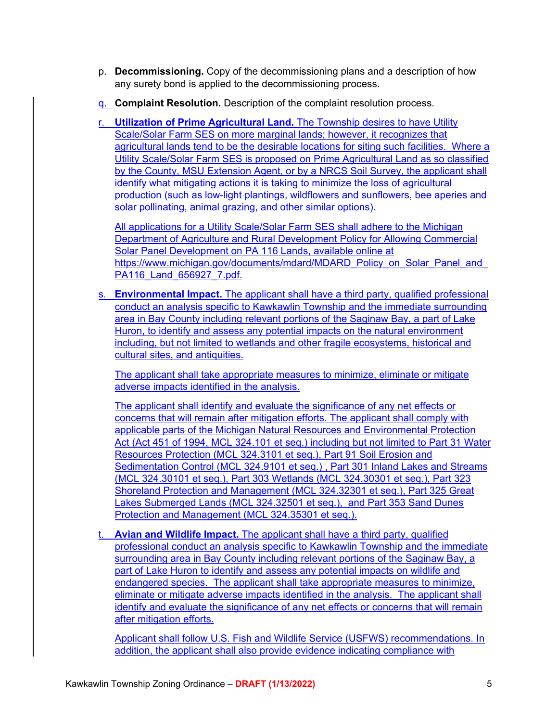- p. **Decommissioning.** Copy of the decommissioning plans and a description of how any surety bond is applied to the decommissioning process.
- q. **Complaint Resolution.** Description of the complaint resolution process.

r. **Utilization of Prime Agricultural Land.** The Township desires to have Utility Scale/Solar Farm SES on more marginal lands; however, it recognizes that agricultural lands tend to be the desirable locations for siting such facilities. Where a Utility Scale/Solar Farm SES is proposed on Prime Agricultural Land as so classified by the County, MSU Extension Agent, or by a NRCS Soil Survey, the applicant shall identify what mitigating actions it is taking to minimize the loss of agricultural production (such as low-light plantings, wildflowers and sunflowers, bee aperies and solar pollinating, animal grazing, and other similar options).

All applications for a Utility Scale/Solar Farm SES shall adhere to the Michigan Department of Agriculture and Rural Development Policy for Allowing Commercial Solar Panel Development on PA 116 Lands, available online at https://www.michigan.gov/documents/mdard/MDARD\_Policy\_on\_Solar\_Panel\_and\_ PA116 Land 656927 7.pdf.

s. **Environmental Impact.** The applicant shall have a third party, qualified professional conduct an analysis specific to Kawkawlin Township and the immediate surrounding area in Bay County including relevant portions of the Saginaw Bay, a part of Lake Huron, to identify and assess any potential impacts on the natural environment including, but not limited to wetlands and other fragile ecosystems, historical and cultural sites, and antiquities.

The applicant shall take appropriate measures to minimize, eliminate or mitigate adverse impacts identified in the analysis.

The applicant shall identify and evaluate the significance of any net effects or concerns that will remain after mitigation efforts. The applicant shall comply with applicable parts of the Michigan Natural Resources and Environmental Protection Act (Act 451 of 1994, MCL 324.101 et seq.) including but not limited to Part 31 Water Resources Protection (MCL 324.3101 et seq.), Part 91 Soil Erosion and Sedimentation Control (MCL 324.9101 et seq.) , Part 301 Inland Lakes and Streams (MCL 324.30101 et seq.), Part 303 Wetlands (MCL 324.30301 et seq.), Part 323 Shoreland Protection and Management (MCL 324.32301 et seq.), Part 325 Great Lakes Submerged Lands (MCL 324.32501 et seq.), and Part 353 Sand Dunes Protection and Management (MCL 324.35301 et seq.).

t. **Avian and Wildlife Impact.** The applicant shall have a third party, qualified professional conduct an analysis specific to Kawkawlin Township and the immediate surrounding area in Bay County including relevant portions of the Saginaw Bay, a part of Lake Huron to identify and assess any potential impacts on wildlife and endangered species. The applicant shall take appropriate measures to minimize, eliminate or mitigate adverse impacts identified in the analysis. The applicant shall identify and evaluate the significance of any net effects or concerns that will remain after mitigation efforts.

Applicant shall follow U.S. Fish and Wildlife Service (USFWS) recommendations. In addition, the applicant shall also provide evidence indicating compliance with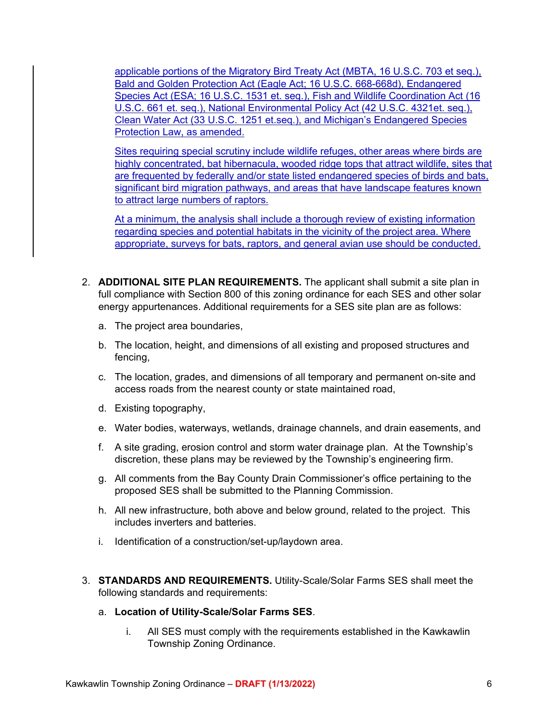applicable portions of the Migratory Bird Treaty Act (MBTA, 16 U.S.C. 703 et seq.), Bald and Golden Protection Act (Eagle Act; 16 U.S.C. 668-668d), Endangered Species Act (ESA; 16 U.S.C. 1531 et. seq.), Fish and Wildlife Coordination Act (16 U.S.C. 661 et. seq.), National Environmental Policy Act (42 U.S.C. 4321et. seq.), Clean Water Act (33 U.S.C. 1251 et.seq.), and Michigan's Endangered Species Protection Law, as amended.

Sites requiring special scrutiny include wildlife refuges, other areas where birds are highly concentrated, bat hibernacula, wooded ridge tops that attract wildlife, sites that are frequented by federally and/or state listed endangered species of birds and bats, significant bird migration pathways, and areas that have landscape features known to attract large numbers of raptors.

At a minimum, the analysis shall include a thorough review of existing information regarding species and potential habitats in the vicinity of the project area. Where appropriate, surveys for bats, raptors, and general avian use should be conducted.

- 2. **ADDITIONAL SITE PLAN REQUIREMENTS.** The applicant shall submit a site plan in full compliance with Section 800 of this zoning ordinance for each SES and other solar energy appurtenances. Additional requirements for a SES site plan are as follows:
	- a. The project area boundaries,
	- b. The location, height, and dimensions of all existing and proposed structures and fencing,
	- c. The location, grades, and dimensions of all temporary and permanent on-site and access roads from the nearest county or state maintained road,
	- d. Existing topography,
	- e. Water bodies, waterways, wetlands, drainage channels, and drain easements, and
	- f. A site grading, erosion control and storm water drainage plan. At the Township's discretion, these plans may be reviewed by the Township's engineering firm.
	- g. All comments from the Bay County Drain Commissioner's office pertaining to the proposed SES shall be submitted to the Planning Commission.
	- h. All new infrastructure, both above and below ground, related to the project. This includes inverters and batteries.
	- i. Identification of a construction/set-up/laydown area.
- 3. **STANDARDS AND REQUIREMENTS.** Utility-Scale/Solar Farms SES shall meet the following standards and requirements:
	- a. **Location of Utility-Scale/Solar Farms SES**.
		- i. All SES must comply with the requirements established in the Kawkawlin Township Zoning Ordinance.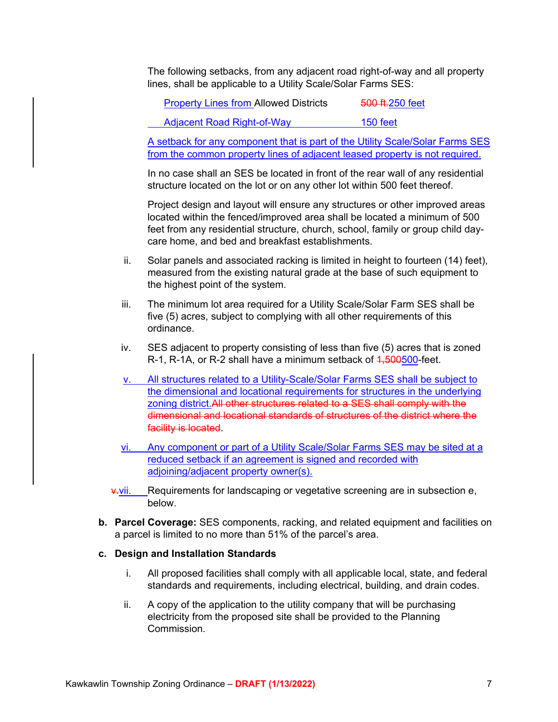The following setbacks, from any adjacent road right-of-way and all property lines, shall be applicable to a Utility Scale/Solar Farms SES:

Property Lines from Allowed Districts 500 ft.250 feet

Adjacent Road Right-of-Way 150 feet

A setback for any component that is part of the Utility Scale/Solar Farms SES from the common property lines of adjacent leased property is not required.

In no case shall an SES be located in front of the rear wall of any residential structure located on the lot or on any other lot within 500 feet thereof.

Project design and layout will ensure any structures or other improved areas located within the fenced/improved area shall be located a minimum of 500 feet from any residential structure, church, school, family or group child daycare home, and bed and breakfast establishments.

- ii. Solar panels and associated racking is limited in height to fourteen (14) feet), measured from the existing natural grade at the base of such equipment to the highest point of the system.
- iii. The minimum lot area required for a Utility Scale/Solar Farm SES shall be five (5) acres, subject to complying with all other requirements of this ordinance.
- iv. SES adjacent to property consisting of less than five (5) acres that is zoned R-1, R-1A, or R-2 shall have a minimum setback of 4,500500-feet.
- v. All structures related to a Utility-Scale/Solar Farms SES shall be subject to the dimensional and locational requirements for structures in the underlying zoning district.All other structures related to a SES shall comply with the dimensional and locational standards of structures of the district where the facility is located.
- vi. Any component or part of a Utility Scale/Solar Farms SES may be sited at a reduced setback if an agreement is signed and recorded with adjoining/adjacent property owner(s).
- v.vii. Requirements for landscaping or vegetative screening are in subsection e, below.
- **b. Parcel Coverage:** SES components, racking, and related equipment and facilities on a parcel is limited to no more than 51% of the parcel's area.

#### **c. Design and Installation Standards**

- i. All proposed facilities shall comply with all applicable local, state, and federal standards and requirements, including electrical, building, and drain codes.
- ii. A copy of the application to the utility company that will be purchasing electricity from the proposed site shall be provided to the Planning **Commission**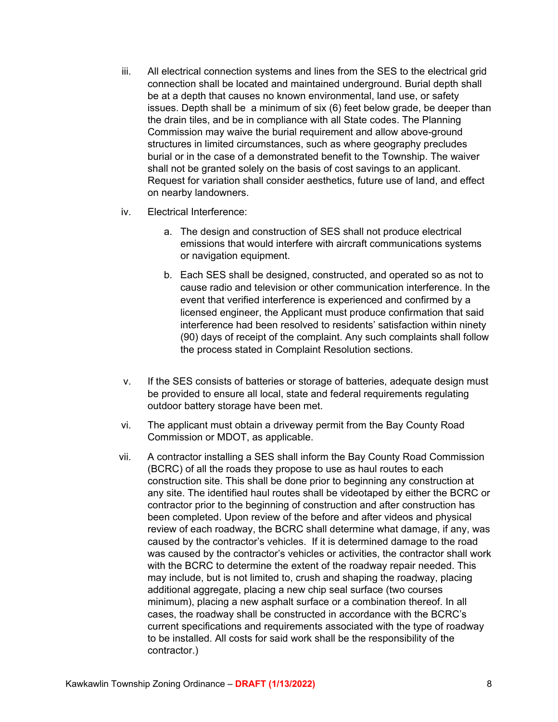- iii. All electrical connection systems and lines from the SES to the electrical grid connection shall be located and maintained underground. Burial depth shall be at a depth that causes no known environmental, land use, or safety issues. Depth shall be a minimum of six (6) feet below grade, be deeper than the drain tiles, and be in compliance with all State codes. The Planning Commission may waive the burial requirement and allow above-ground structures in limited circumstances, such as where geography precludes burial or in the case of a demonstrated benefit to the Township. The waiver shall not be granted solely on the basis of cost savings to an applicant. Request for variation shall consider aesthetics, future use of land, and effect on nearby landowners.
- iv. Electrical Interference:
	- a. The design and construction of SES shall not produce electrical emissions that would interfere with aircraft communications systems or navigation equipment.
	- b. Each SES shall be designed, constructed, and operated so as not to cause radio and television or other communication interference. In the event that verified interference is experienced and confirmed by a licensed engineer, the Applicant must produce confirmation that said interference had been resolved to residents' satisfaction within ninety (90) days of receipt of the complaint. Any such complaints shall follow the process stated in Complaint Resolution sections.
- v. If the SES consists of batteries or storage of batteries, adequate design must be provided to ensure all local, state and federal requirements regulating outdoor battery storage have been met.
- vi. The applicant must obtain a driveway permit from the Bay County Road Commission or MDOT, as applicable.
- vii. A contractor installing a SES shall inform the Bay County Road Commission (BCRC) of all the roads they propose to use as haul routes to each construction site. This shall be done prior to beginning any construction at any site. The identified haul routes shall be videotaped by either the BCRC or contractor prior to the beginning of construction and after construction has been completed. Upon review of the before and after videos and physical review of each roadway, the BCRC shall determine what damage, if any, was caused by the contractor's vehicles. If it is determined damage to the road was caused by the contractor's vehicles or activities, the contractor shall work with the BCRC to determine the extent of the roadway repair needed. This may include, but is not limited to, crush and shaping the roadway, placing additional aggregate, placing a new chip seal surface (two courses minimum), placing a new asphalt surface or a combination thereof. In all cases, the roadway shall be constructed in accordance with the BCRC's current specifications and requirements associated with the type of roadway to be installed. All costs for said work shall be the responsibility of the contractor.)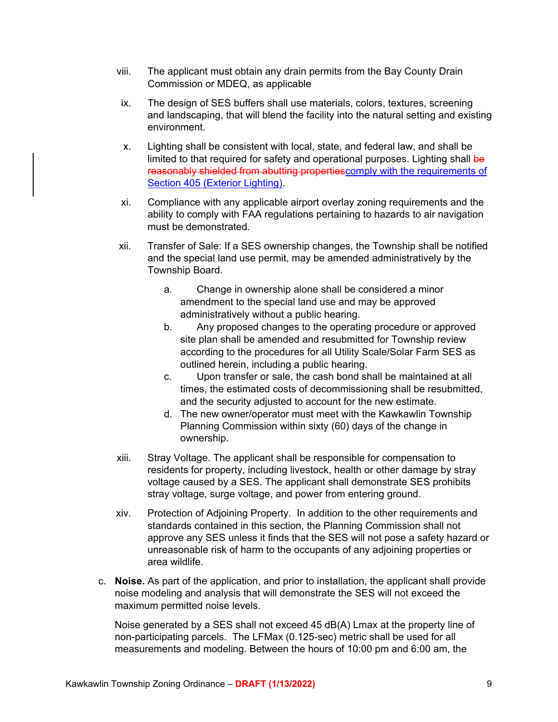- viii. The applicant must obtain any drain permits from the Bay County Drain Commission or MDEQ, as applicable
- ix. The design of SES buffers shall use materials, colors, textures, screening and landscaping, that will blend the facility into the natural setting and existing environment.
- x. Lighting shall be consistent with local, state, and federal law, and shall be limited to that required for safety and operational purposes. Lighting shall be reasonably shielded from abutting properties comply with the requirements of Section 405 (Exterior Lighting).
- xi. Compliance with any applicable airport overlay zoning requirements and the ability to comply with FAA regulations pertaining to hazards to air navigation must be demonstrated.
- xii. Transfer of Sale: If a SES ownership changes, the Township shall be notified and the special land use permit, may be amended administratively by the Township Board.
	- a. Change in ownership alone shall be considered a minor amendment to the special land use and may be approved administratively without a public hearing.
	- b. Any proposed changes to the operating procedure or approved site plan shall be amended and resubmitted for Township review according to the procedures for all Utility Scale/Solar Farm SES as outlined herein, including a public hearing.
	- c. Upon transfer or sale, the cash bond shall be maintained at all times, the estimated costs of decommissioning shall be resubmitted, and the security adjusted to account for the new estimate.
	- d. The new owner/operator must meet with the Kawkawlin Township Planning Commission within sixty (60) days of the change in ownership.
- xiii. Stray Voltage. The applicant shall be responsible for compensation to residents for property, including livestock, health or other damage by stray voltage caused by a SES. The applicant shall demonstrate SES prohibits stray voltage, surge voltage, and power from entering ground.
- xiv. Protection of Adjoining Property. In addition to the other requirements and standards contained in this section, the Planning Commission shall not approve any SES unless it finds that the SES will not pose a safety hazard or unreasonable risk of harm to the occupants of any adjoining properties or area wildlife.
- c. **Noise.** As part of the application, and prior to installation, the applicant shall provide noise modeling and analysis that will demonstrate the SES will not exceed the maximum permitted noise levels.

Noise generated by a SES shall not exceed 45 dB(A) Lmax at the property line of non-participating parcels. The LFMax (0.125-sec) metric shall be used for all measurements and modeling. Between the hours of 10:00 pm and 6:00 am, the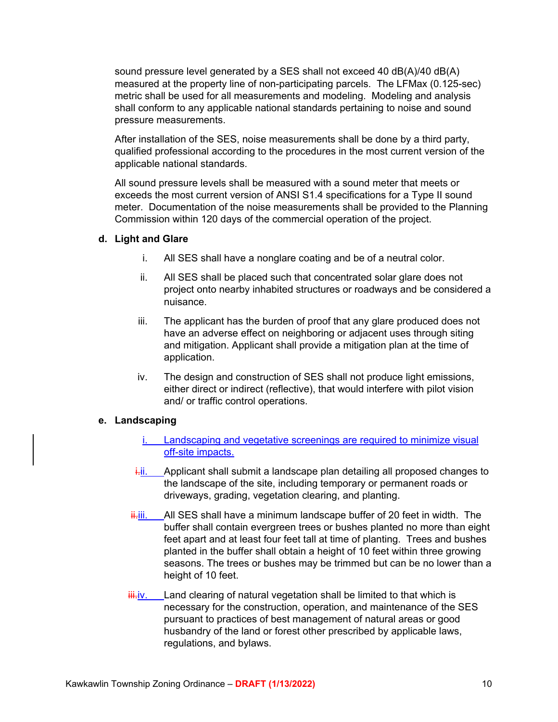sound pressure level generated by a SES shall not exceed 40 dB(A)/40 dB(A) measured at the property line of non-participating parcels. The LFMax (0.125-sec) metric shall be used for all measurements and modeling. Modeling and analysis shall conform to any applicable national standards pertaining to noise and sound pressure measurements.

After installation of the SES, noise measurements shall be done by a third party, qualified professional according to the procedures in the most current version of the applicable national standards.

All sound pressure levels shall be measured with a sound meter that meets or exceeds the most current version of ANSI S1.4 specifications for a Type II sound meter. Documentation of the noise measurements shall be provided to the Planning Commission within 120 days of the commercial operation of the project.

#### **d. Light and Glare**

- i. All SES shall have a nonglare coating and be of a neutral color.
- ii. All SES shall be placed such that concentrated solar glare does not project onto nearby inhabited structures or roadways and be considered a nuisance.
- iii. The applicant has the burden of proof that any glare produced does not have an adverse effect on neighboring or adjacent uses through siting and mitigation. Applicant shall provide a mitigation plan at the time of application.
- iv. The design and construction of SES shall not produce light emissions, either direct or indirect (reflective), that would interfere with pilot vision and/ or traffic control operations.

# **e. Landscaping**

- i. Landscaping and vegetative screenings are required to minimize visual off-site impacts.
- $\frac{1}{2}$ ii. Applicant shall submit a landscape plan detailing all proposed changes to the landscape of the site, including temporary or permanent roads or driveways, grading, vegetation clearing, and planting.
- $\frac{1}{11}$ iii. All SES shall have a minimum landscape buffer of 20 feet in width. The buffer shall contain evergreen trees or bushes planted no more than eight feet apart and at least four feet tall at time of planting. Trees and bushes planted in the buffer shall obtain a height of 10 feet within three growing seasons. The trees or bushes may be trimmed but can be no lower than a height of 10 feet.
- $\frac{iii}{iv}$ . Land clearing of natural vegetation shall be limited to that which is necessary for the construction, operation, and maintenance of the SES pursuant to practices of best management of natural areas or good husbandry of the land or forest other prescribed by applicable laws, regulations, and bylaws.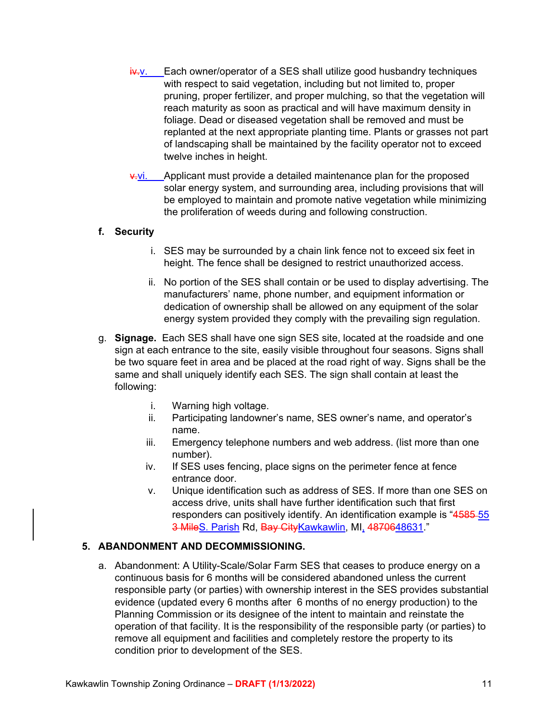- iv.v. Each owner/operator of a SES shall utilize good husbandry techniques with respect to said vegetation, including but not limited to, proper pruning, proper fertilizer, and proper mulching, so that the vegetation will reach maturity as soon as practical and will have maximum density in foliage. Dead or diseased vegetation shall be removed and must be replanted at the next appropriate planting time. Plants or grasses not part of landscaping shall be maintained by the facility operator not to exceed twelve inches in height.
- **v.vi.** Applicant must provide a detailed maintenance plan for the proposed solar energy system, and surrounding area, including provisions that will be employed to maintain and promote native vegetation while minimizing the proliferation of weeds during and following construction.

#### **f. Security**

- i. SES may be surrounded by a chain link fence not to exceed six feet in height. The fence shall be designed to restrict unauthorized access.
- ii. No portion of the SES shall contain or be used to display advertising. The manufacturers' name, phone number, and equipment information or dedication of ownership shall be allowed on any equipment of the solar energy system provided they comply with the prevailing sign regulation.
- g. **Signage.** Each SES shall have one sign SES site, located at the roadside and one sign at each entrance to the site, easily visible throughout four seasons. Signs shall be two square feet in area and be placed at the road right of way. Signs shall be the same and shall uniquely identify each SES. The sign shall contain at least the following:
	- i. Warning high voltage.
	- ii. Participating landowner's name, SES owner's name, and operator's name.
	- iii. Emergency telephone numbers and web address. (list more than one number).
	- iv. If SES uses fencing, place signs on the perimeter fence at fence entrance door.
	- v. Unique identification such as address of SES. If more than one SES on access drive, units shall have further identification such that first responders can positively identify. An identification example is "4585-55" 3 MileS. Parish Rd, Bay CityKawkawlin, MI, 4870648631."

#### **5. ABANDONMENT AND DECOMMISSIONING.**

a. Abandonment: A Utility-Scale/Solar Farm SES that ceases to produce energy on a continuous basis for 6 months will be considered abandoned unless the current responsible party (or parties) with ownership interest in the SES provides substantial evidence (updated every 6 months after 6 months of no energy production) to the Planning Commission or its designee of the intent to maintain and reinstate the operation of that facility. It is the responsibility of the responsible party (or parties) to remove all equipment and facilities and completely restore the property to its condition prior to development of the SES.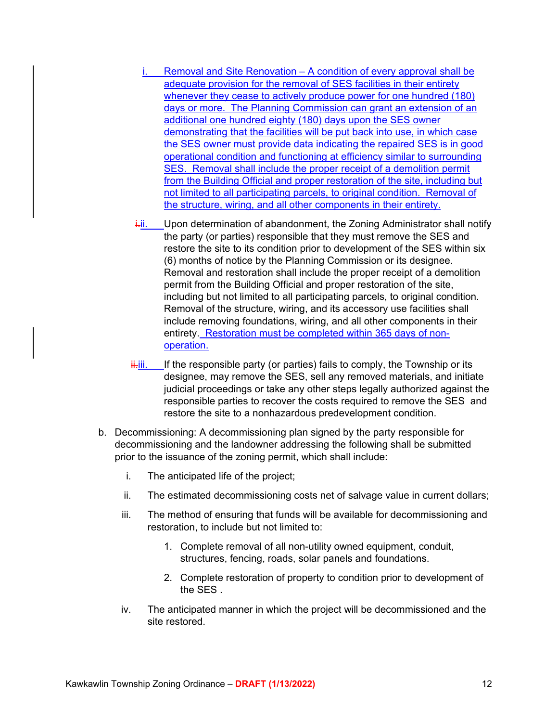- i. Removal and Site Renovation A condition of every approval shall be adequate provision for the removal of SES facilities in their entirety whenever they cease to actively produce power for one hundred (180) days or more. The Planning Commission can grant an extension of an additional one hundred eighty (180) days upon the SES owner demonstrating that the facilities will be put back into use, in which case the SES owner must provide data indicating the repaired SES is in good operational condition and functioning at efficiency similar to surrounding SES. Removal shall include the proper receipt of a demolition permit from the Building Official and proper restoration of the site, including but not limited to all participating parcels, to original condition. Removal of the structure, wiring, and all other components in their entirety.
- $i$ -ii. Upon determination of abandonment, the Zoning Administrator shall notify the party (or parties) responsible that they must remove the SES and restore the site to its condition prior to development of the SES within six (6) months of notice by the Planning Commission or its designee. Removal and restoration shall include the proper receipt of a demolition permit from the Building Official and proper restoration of the site, including but not limited to all participating parcels, to original condition. Removal of the structure, wiring, and its accessory use facilities shall include removing foundations, wiring, and all other components in their entirety. Restoration must be completed within 365 days of nonoperation.
- $\frac{1}{11}$ iii. If the responsible party (or parties) fails to comply, the Township or its designee, may remove the SES, sell any removed materials, and initiate judicial proceedings or take any other steps legally authorized against the responsible parties to recover the costs required to remove the SES and restore the site to a nonhazardous predevelopment condition.
- b. Decommissioning: A decommissioning plan signed by the party responsible for decommissioning and the landowner addressing the following shall be submitted prior to the issuance of the zoning permit, which shall include:
	- i. The anticipated life of the project;
	- ii. The estimated decommissioning costs net of salvage value in current dollars;
	- iii. The method of ensuring that funds will be available for decommissioning and restoration, to include but not limited to:
		- 1. Complete removal of all non-utility owned equipment, conduit, structures, fencing, roads, solar panels and foundations.
		- 2. Complete restoration of property to condition prior to development of the SES .
	- iv. The anticipated manner in which the project will be decommissioned and the site restored.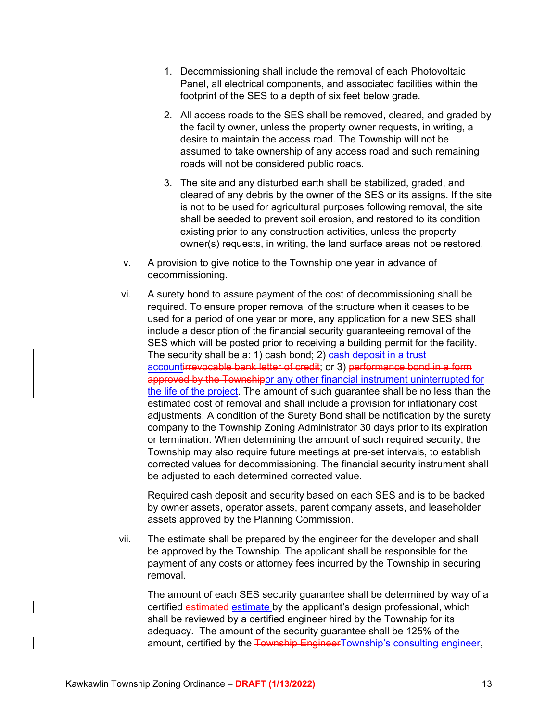- 1. Decommissioning shall include the removal of each Photovoltaic Panel, all electrical components, and associated facilities within the footprint of the SES to a depth of six feet below grade.
- 2. All access roads to the SES shall be removed, cleared, and graded by the facility owner, unless the property owner requests, in writing, a desire to maintain the access road. The Township will not be assumed to take ownership of any access road and such remaining roads will not be considered public roads.
- 3. The site and any disturbed earth shall be stabilized, graded, and cleared of any debris by the owner of the SES or its assigns. If the site is not to be used for agricultural purposes following removal, the site shall be seeded to prevent soil erosion, and restored to its condition existing prior to any construction activities, unless the property owner(s) requests, in writing, the land surface areas not be restored.
- v. A provision to give notice to the Township one year in advance of decommissioning.
- vi. A surety bond to assure payment of the cost of decommissioning shall be required. To ensure proper removal of the structure when it ceases to be used for a period of one year or more, any application for a new SES shall include a description of the financial security guaranteeing removal of the SES which will be posted prior to receiving a building permit for the facility. The security shall be a: 1) cash bond; 2) cash deposit in a trust accountirrevocable bank letter of credit; or 3) performance bond in a form approved by the Townshipor any other financial instrument uninterrupted for the life of the project. The amount of such guarantee shall be no less than the estimated cost of removal and shall include a provision for inflationary cost adjustments. A condition of the Surety Bond shall be notification by the surety company to the Township Zoning Administrator 30 days prior to its expiration or termination. When determining the amount of such required security, the Township may also require future meetings at pre-set intervals, to establish corrected values for decommissioning. The financial security instrument shall be adjusted to each determined corrected value.

Required cash deposit and security based on each SES and is to be backed by owner assets, operator assets, parent company assets, and leaseholder assets approved by the Planning Commission.

vii. The estimate shall be prepared by the engineer for the developer and shall be approved by the Township. The applicant shall be responsible for the payment of any costs or attorney fees incurred by the Township in securing removal.

The amount of each SES security guarantee shall be determined by way of a certified estimated estimate by the applicant's design professional, which shall be reviewed by a certified engineer hired by the Township for its adequacy. The amount of the security guarantee shall be 125% of the amount, certified by the Township EngineerTownship's consulting engineer,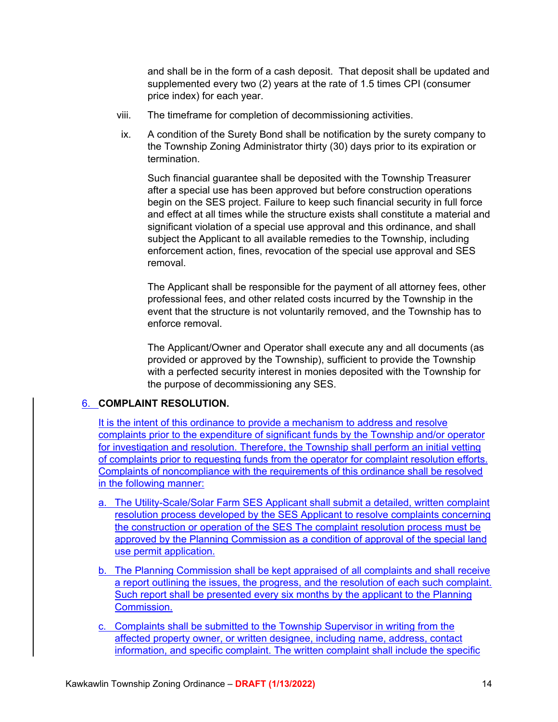and shall be in the form of a cash deposit. That deposit shall be updated and supplemented every two (2) years at the rate of 1.5 times CPI (consumer price index) for each year.

- viii. The timeframe for completion of decommissioning activities.
- ix. A condition of the Surety Bond shall be notification by the surety company to the Township Zoning Administrator thirty (30) days prior to its expiration or termination.

Such financial guarantee shall be deposited with the Township Treasurer after a special use has been approved but before construction operations begin on the SES project. Failure to keep such financial security in full force and effect at all times while the structure exists shall constitute a material and significant violation of a special use approval and this ordinance, and shall subject the Applicant to all available remedies to the Township, including enforcement action, fines, revocation of the special use approval and SES removal.

The Applicant shall be responsible for the payment of all attorney fees, other professional fees, and other related costs incurred by the Township in the event that the structure is not voluntarily removed, and the Township has to enforce removal.

The Applicant/Owner and Operator shall execute any and all documents (as provided or approved by the Township), sufficient to provide the Township with a perfected security interest in monies deposited with the Township for the purpose of decommissioning any SES.

#### 6. **COMPLAINT RESOLUTION.**

It is the intent of this ordinance to provide a mechanism to address and resolve complaints prior to the expenditure of significant funds by the Township and/or operator for investigation and resolution. Therefore, the Township shall perform an initial vetting of complaints prior to requesting funds from the operator for complaint resolution efforts. Complaints of noncompliance with the requirements of this ordinance shall be resolved in the following manner:

- a. The Utility-Scale/Solar Farm SES Applicant shall submit a detailed, written complaint resolution process developed by the SES Applicant to resolve complaints concerning the construction or operation of the SES The complaint resolution process must be approved by the Planning Commission as a condition of approval of the special land use permit application.
- b. The Planning Commission shall be kept appraised of all complaints and shall receive a report outlining the issues, the progress, and the resolution of each such complaint. Such report shall be presented every six months by the applicant to the Planning Commission.
- c. Complaints shall be submitted to the Township Supervisor in writing from the affected property owner, or written designee, including name, address, contact information, and specific complaint. The written complaint shall include the specific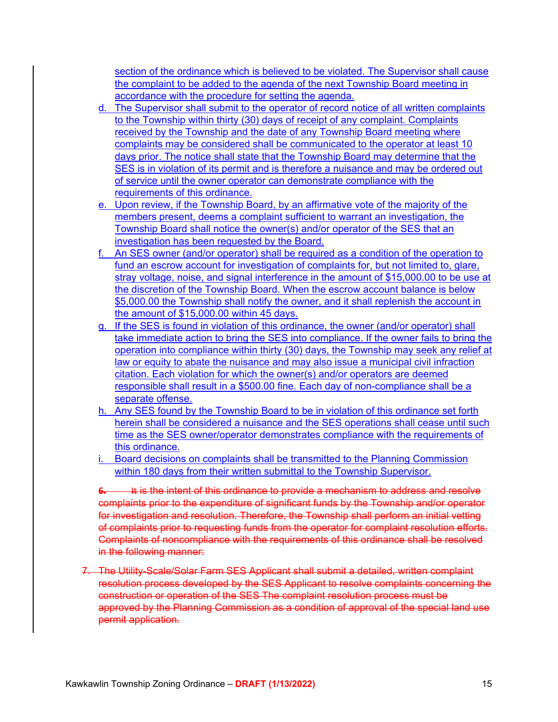section of the ordinance which is believed to be violated. The Supervisor shall cause the complaint to be added to the agenda of the next Township Board meeting in accordance with the procedure for setting the agenda.

- d. The Supervisor shall submit to the operator of record notice of all written complaints to the Township within thirty (30) days of receipt of any complaint. Complaints received by the Township and the date of any Township Board meeting where complaints may be considered shall be communicated to the operator at least 10 days prior. The notice shall state that the Township Board may determine that the SES is in violation of its permit and is therefore a nuisance and may be ordered out of service until the owner operator can demonstrate compliance with the requirements of this ordinance.
- e. Upon review, if the Township Board, by an affirmative vote of the majority of the members present, deems a complaint sufficient to warrant an investigation, the Township Board shall notice the owner(s) and/or operator of the SES that an investigation has been requested by the Board.
- f. An SES owner (and/or operator) shall be required as a condition of the operation to fund an escrow account for investigation of complaints for, but not limited to, glare, stray voltage, noise, and signal interference in the amount of \$15,000,00 to be use at the discretion of the Township Board. When the escrow account balance is below \$5,000.00 the Township shall notify the owner, and it shall replenish the account in the amount of \$15,000.00 within 45 days.
- g. If the SES is found in violation of this ordinance, the owner (and/or operator) shall take immediate action to bring the SES into compliance. If the owner fails to bring the operation into compliance within thirty (30) days, the Township may seek any relief at law or equity to abate the nuisance and may also issue a municipal civil infraction citation. Each violation for which the owner(s) and/or operators are deemed responsible shall result in a \$500.00 fine. Each day of non-compliance shall be a separate offense.
- h. Any SES found by the Township Board to be in violation of this ordinance set forth herein shall be considered a nuisance and the SES operations shall cease until such time as the SES owner/operator demonstrates compliance with the requirements of this ordinance.
- i. Board decisions on complaints shall be transmitted to the Planning Commission within 180 days from their written submittal to the Township Supervisor.

**6.** It is the intent of this ordinance to provide a mechanism to address and resolve complaints prior to the expenditure of significant funds by the Township and/or operator for investigation and resolution. Therefore, the Township shall perform an initial vetting of complaints prior to requesting funds from the operator for complaint resolution efforts. Complaints of noncompliance with the requirements of this ordinance shall be resolved in the following manner:

7. The Utility-Scale/Solar Farm SES Applicant shall submit a detailed, written complaint resolution process developed by the SES Applicant to resolve complaints concerning the construction or operation of the SES The complaint resolution process must be approved by the Planning Commission as a condition of approval of the special land use permit application.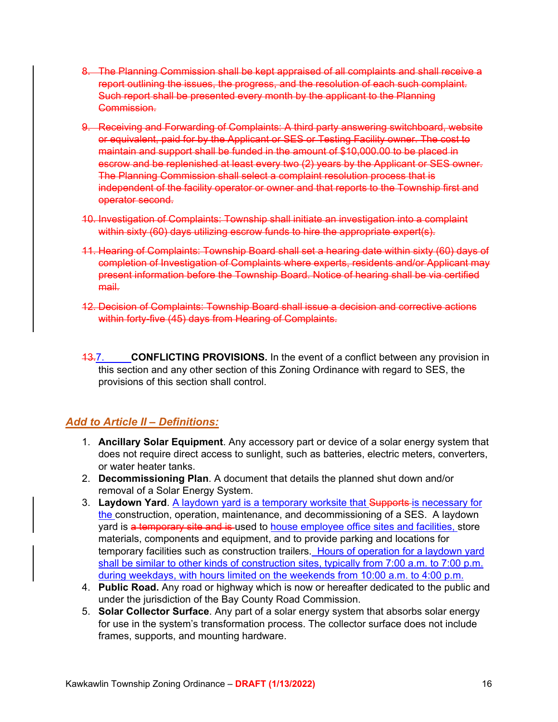- 8. The Planning Commission shall be kept appraised of all complaints and shall receive a report outlining the issues, the progress, and the resolution of each such complaint. Such report shall be presented every month by the applicant to the Planning Commission.
- 9. Receiving and Forwarding of Complaints: A third party answering switchboard, website or equivalent, paid for by the Applicant or SES or Testing Facility owner. The cost to maintain and support shall be funded in the amount of \$10,000.00 to be placed in escrow and be replenished at least every two (2) years by the Applicant or SES owner. The Planning Commission shall select a complaint resolution process that is independent of the facility operator or owner and that reports to the Township first and operator second.
- 10. Investigation of Complaints: Township shall initiate an investigation into a complaint within sixty (60) days utilizing escrow funds to hire the appropriate expert(s).
- 11. Hearing of Complaints: Township Board shall set a hearing date within sixty (60) days of completion of Investigation of Complaints where experts, residents and/or Applicant may present information before the Township Board. Notice of hearing shall be via certified mail.
- 12. Decision of Complaints: Township Board shall issue a decision and corrective actions within forty-five (45) days from Hearing of Complaints.
- 13.7. **CONFLICTING PROVISIONS.** In the event of a conflict between any provision in this section and any other section of this Zoning Ordinance with regard to SES, the provisions of this section shall control.

# *Add to Article II – Definitions:*

- 1. **Ancillary Solar Equipment**. Any accessory part or device of a solar energy system that does not require direct access to sunlight, such as batteries, electric meters, converters, or water heater tanks.
- 2. **Decommissioning Plan**. A document that details the planned shut down and/or removal of a Solar Energy System.
- 3. **Laydown Yard**. A laydown yard is a temporary worksite that Supports is necessary for the construction, operation, maintenance, and decommissioning of a SES. A laydown yard is a temporary site and is used to house employee office sites and facilities, store materials, components and equipment, and to provide parking and locations for temporary facilities such as construction trailers. Hours of operation for a laydown yard shall be similar to other kinds of construction sites, typically from 7:00 a.m. to 7:00 p.m. during weekdays, with hours limited on the weekends from 10:00 a.m. to 4:00 p.m.
- 4. **Public Road.** Any road or highway which is now or hereafter dedicated to the public and under the jurisdiction of the Bay County Road Commission.
- 5. **Solar Collector Surface**. Any part of a solar energy system that absorbs solar energy for use in the system's transformation process. The collector surface does not include frames, supports, and mounting hardware.